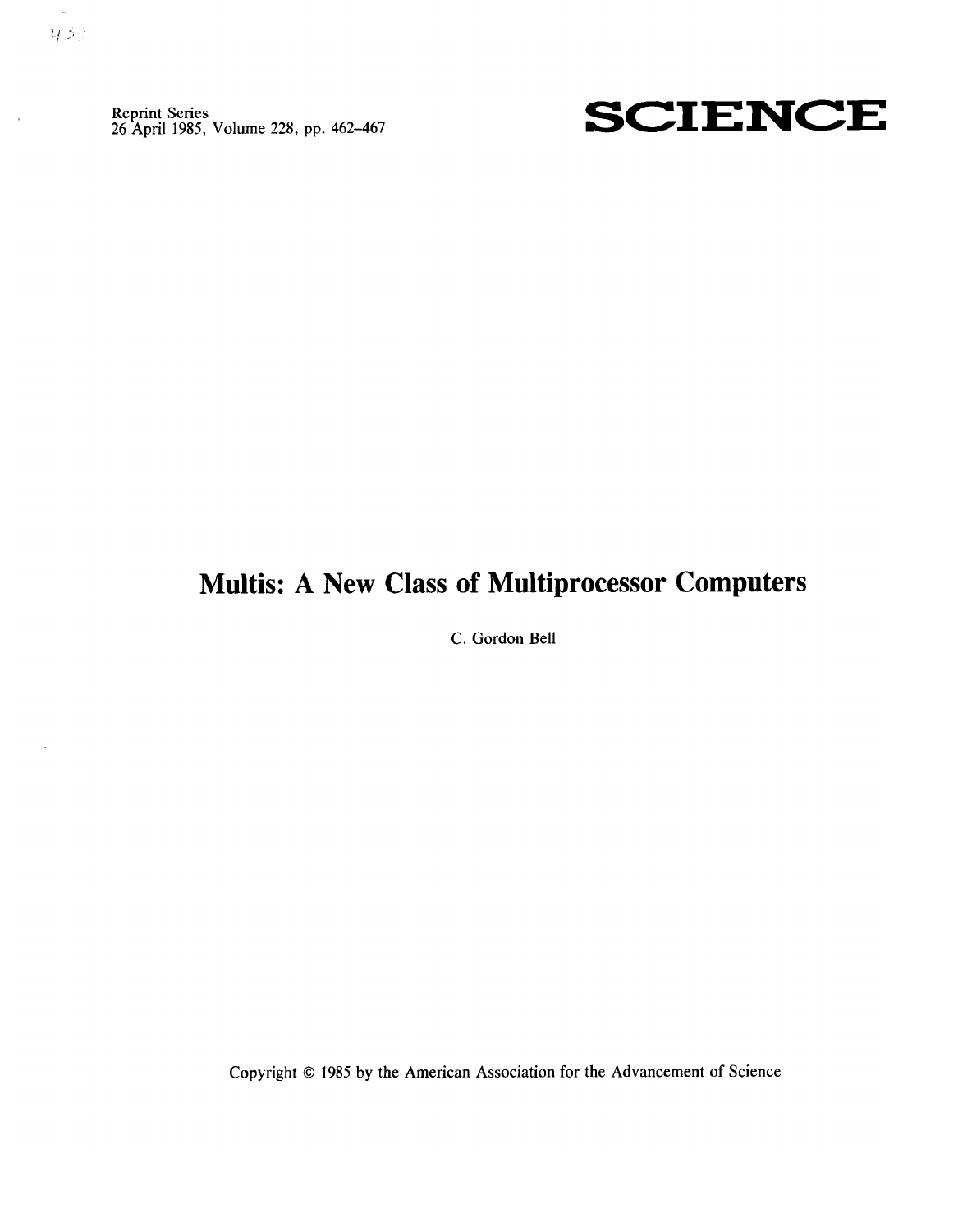Reprint Series<br>26 April 1985, Volume 228, pp. 462–467 **SCIEN** 

432

 $\sim 0.1$ 

 $\hat{\mathcal{E}}$ 



# **Multis: A New Class of Multiprocessor Computers**

C. Gordon Bell

Copyright © 1985 by the American Association for the Advancement of Science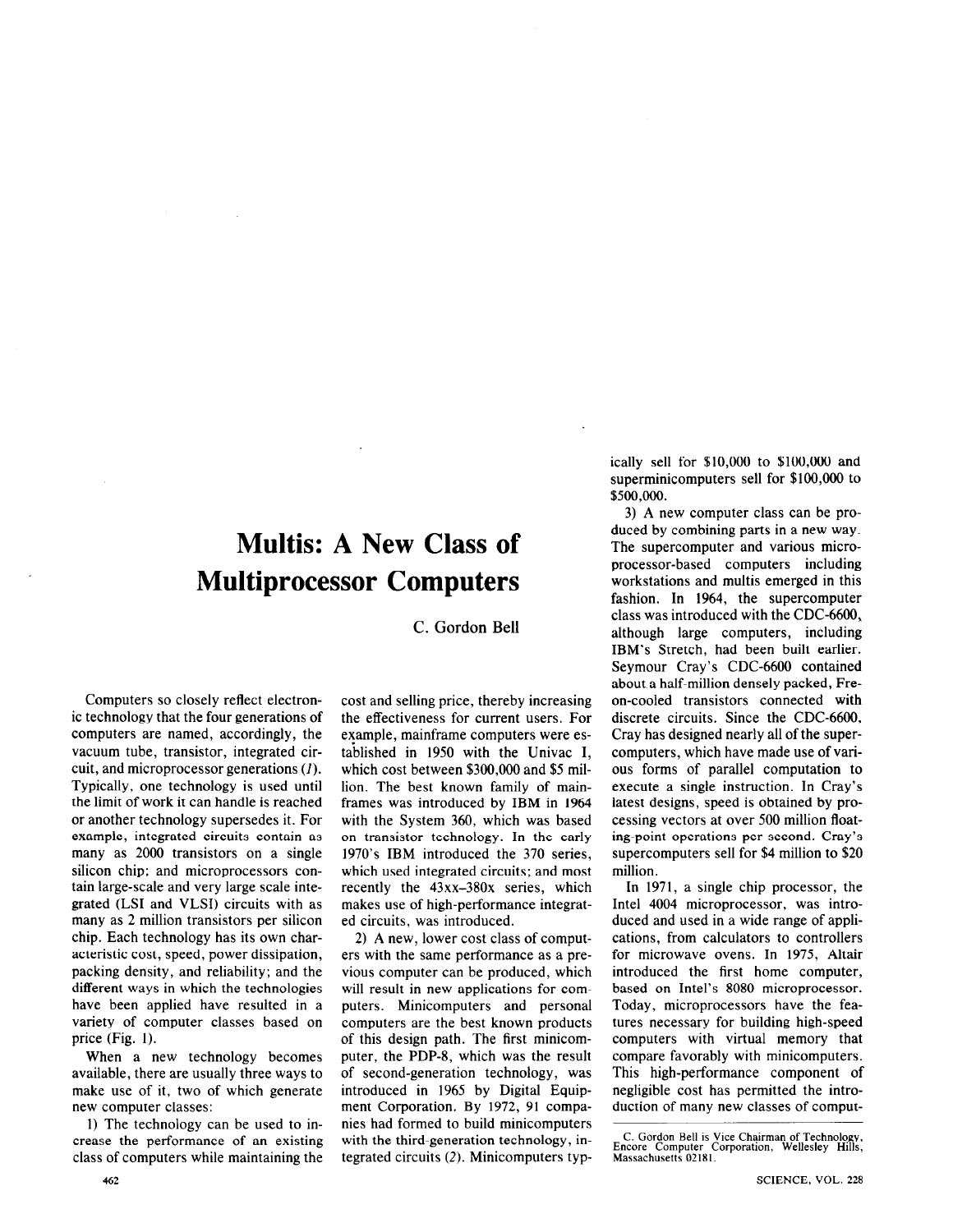# **Multis: A New Class of Multiprocessor Computers**

C. Gordon Bell

Computers so closely reflect electronic technology that the four generations of computers are named, accordingly, the vacuum tube, transistor, integrated circuit, and microprocessor generations (1). Typically, one technology is used until the limit of work it can handle is reached or another technology supersedes it. For example, integrated circuits contain as many as 2000 transistors on a single silicon chip; and microprocessors contain large-scale and very large scale integrated (LSI and VLSI) circuits with as many as 2 million transistors per silicon chip. Each technology has its own characteristic cost, speed, power dissipation, packing density, and reliability; and the different ways in which the technologies have been applied have resulted in a variety of computer classes based on price (Fig. I).

When a new technology becomes available, there are usually three ways to make use of it, two of which generate new computer classes:

1) The technology can be used to increase the performance of an existing class of computers while maintaining the cost and selling price, thereby increasing the effectiveness for current users. For example, mainframe computers were established in 1950 with the Univac I, which cost between \$300,000 and \$5 million. The best known family of mainframes was introduced by IBM in 1964 with the System 360, which was based on transistor technology. In the early 1970's IBM introduced the 370 series, which used integrated circuits; and most recently the 43xx-380x series, which makes use of high-performance integrated circuits, was introduced.

2) A new, lower cost class of computers with the same performance as a previous computer can be produced, which will result in new applications for computers. Minicomputers and personal computers are the best known products of this design path. The first minicomputer, the PDP-8, which was the result of second-generation technology, was introduced in 1965 by Digital Equipment Corporation. By 1972, 91 companies had formed to build minicomputers with the third-generation technology, integrated circuits (2). Minicomputers typically sell for \$10,000 to \$100,000 and superminicomputers sell for \$100,000 to \$500,000.

3) A new computer class can be produced by combining parts in a new way. The supercomputer and various microprocessor-based computers including workstations and multis emerged in this fashion. In 1964, the supercomputer class was introduced with the CDC-6600, although large computers, including IBM's Stretch, had been built earlier. Seymour Cray's CDC-6600 contained about a half-million densely packed, Freon-cooled transistors connected with discrete circuits. Since the CDC-6600, Cray has designed nearly all of the supercomputers, which have made use of various forms of parallel computation to execute a single instruction. In Cray's latest designs, speed is obtained by processing vectors at over 500 million floating-point operations per second. Cray's supercomputers sell for \$4 million to \$20 million.

In 1971, a single chip processor, the Intel 4004 microprocessor, was introduced and used in a wide range of applications, from calculators to controllers for microwave ovens. In 1975, Altair introduced the first home computer, based on Intel's 8080 microprocessor. Today, microprocessors have the features necessary for building high-speed computers with virtual memory that compare favorably with minicomputers. This high-performance component of negligible cost has permitted the introduction of many new classes of comput-

C. Gordon Bell is Vice Chairman of Technology, Encore Computer Corporation, Wellesley Hills, Massachusetts 02181.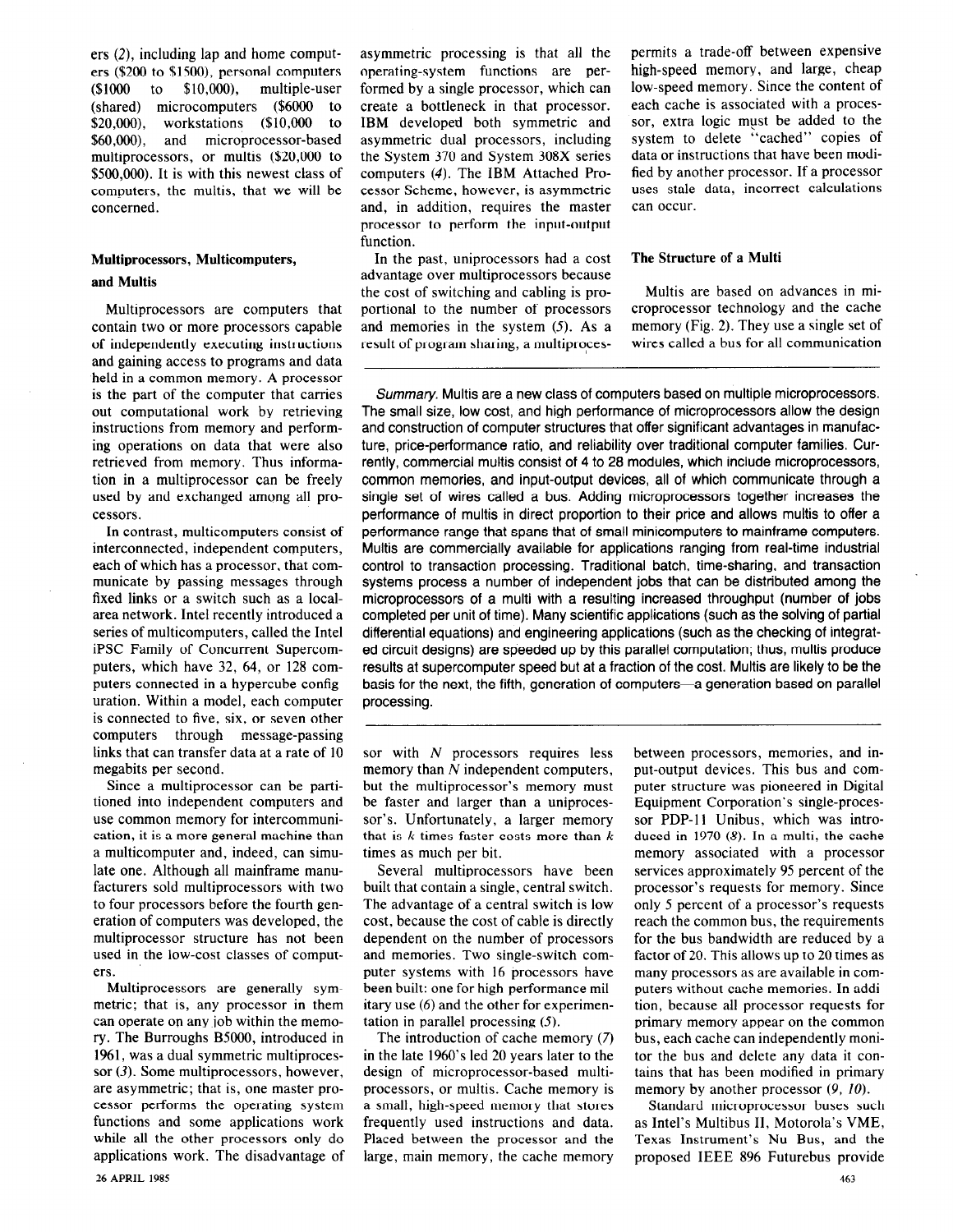ers (2), including lap and home computers (\$200 to \$1500), personal computers (\$1000 to \$lO,OOO), multiple-user (shared) microcomputers (\$6000 to  $$20,000$ , workstations  $$10,000$  to<br> $$60,000$ , and microprocessor-based and microprocessor-based multiprocessors, or multis (\$20,000 to \$500,000). It is with this newest class of computers, the multis, that we will be concerned.

# **Multiprocessors, Multicomputers, and Multis**

Multiprocessors are computers that contain two or more processors capable of independently executing instructions and gaining access to programs and data held in a common memory. A processor is the part of the computer that carries out computational work by retrieving instructions from memory and performing operations on data that were also retrieved from memory. Thus information in a multiprocessor can be freely used by and exchanged among all processors.

In contrast, multicomputers consist of interconnected, independent computers, each of which has a processor, that communicate by passing messages through fixed links or a switch such as a localarea network. Intel recently introduced a series of multicomputers, called the Intel iPSC Family of Concurrent Supercomputers, which have 32, 64, or 128 computers connected in a hypercube configuration. Within a model, each computer is connected to five, six, or seven other computers through message-passing links that can transfer data at a rate of 10 megabits per second.

Since a multiprocessor can be partitioned into independent computers and use common memory for intercommunication, it is a more general machine than a multicomputer and, indeed, can simulate one. Although all mainframe manufacturers sold multiprocessors with two to four processors before the fourth generation of computers was developed, the multiprocessor structure has not been used in the low-cost classes of computers.

Multiprocessors are generally symmetric; that is, any processor in them can operate op any job within the memory. The Burroughs B5000, introduced in 1961, was a dual symmetric multiprocessor (3). Some multiprocessors, however, are asymmetric; that is, one master processor performs the operating system functions and some applications work while all the other processors only do applications work. The disadvantage of asymmetric processing is that all the operating-system functions are performed by a single processor, which can create a bottleneck in that processor. IBM developed both symmetric and asymmetric dual processors, including the System 370 and System 308X series computers (4). The IBM Attached Processor Scheme, however, is asymmetric and, in addition, requires the master processor to perform the input-output function.

In the past, uniprocessors had a cost advantage over multiprocessors because the cost of switching and cabling is proportional to the number of processors and memories in the system  $(5)$ . As a result of program sharing, a multiprocespermits a trade-off between expensive high-speed memory, and large, cheap low-speed memory. Since the content of each cache is associated with a processor, extra logic must be added to the system to delete "cached" copies of data or instructions that have been modified by another processor. If a processor uses stale data, incorrect calculations can occur.

### **The Structure of a Multi**

Multis are based on advances in microprocessor technology and the cache memory (Fig. 2). They use a single set of wires called a bus for all communication

Summary. Multis are a new class of computers based on multiple microprocessors. The small size, low cost, and high performance of microprocessors allow the design and construction of computer structures that offer significant advantages in manufacture, price-performance ratio, and reliability over traditional computer families. Currently, commercial multis consist of 4 to 28 modules, which include microprocessors, common memories, and input-output devices, all of which communicate through a single set of wires called a bus. Adding microprocessors together increases the performance of multis in direct proportion to their price and allows multis to offer a performance range that spans that of small minicomputers to mainframe computers. Multis are commercially available for applications ranging from real-time industrial control to transaction processing. Traditional batch, time-sharing, and transaction systems process a number of independent jobs that can be distributed among the microprocessors of a multi with a resulting increased throughput (number of jobs completed per unit of time). Many scientific applications (such as the solving of partial differential equations) and engineering applications (such as the checking of integrated circuit designs) are speeded up by this parallel computation; thus, multis produce results at supercomputer speed but at a fraction of the cost. Multis are likely to be the basis for the next, the fifth, generation of computers-a generation based on parallel processing.

-

sor with N processors requires less memory than N independent computers, but the multiprocessor's memory must be faster and larger than a uniprocessor's. Unfortunately, a larger memory that is *k* times faster costs more than *k*  times as much per bit.

Several multiprocessors have been built that contain a single, central switch. The advantage of a central switch is low cost, because the cost of cable is directly dependent on the number of processors and memories. Two single-switch computer systems with 16 processors have been built: one for high-performance military use (6) and the other for experimentation in parallel processing (5).

The introduction of cache memory (7) in the late 1960's led 20 years later to the design of microprocessor-based multiprocessors, or multis. Cache memory is a small, high-speed memory that stores frequently used instructions and data. Placed between the processor and the large, main memory, the cache memory

between processors, memories, and input-output devices. This bus and computer structure was pioneered in Digital Equipment Corporation's single-processor PDP-11 Unibus, which was introduced in 1970 (8). In a multi, the cache memory associated with a processor services approximately 95 percent of the processor's requests for memory. Since only 5 percent of a processor's requests reach the common bus, the requirements for the bus bandwidth are reduced by a factor of 20. This allows up to 20 times as many processors as are available in computers without cache memories. In addition, because all processor requests for primary memory appear on the common bus, each cache can independently monitor the bus and delete any data it contains that has been modified in primary memory by another processor  $(9, 10)$ .

Standard microprocessor buses such as Intel's Multibus II, Motorola's VME, Texas Instrument's Nu Bus, and the proposed IEEE 896 Futurebus provide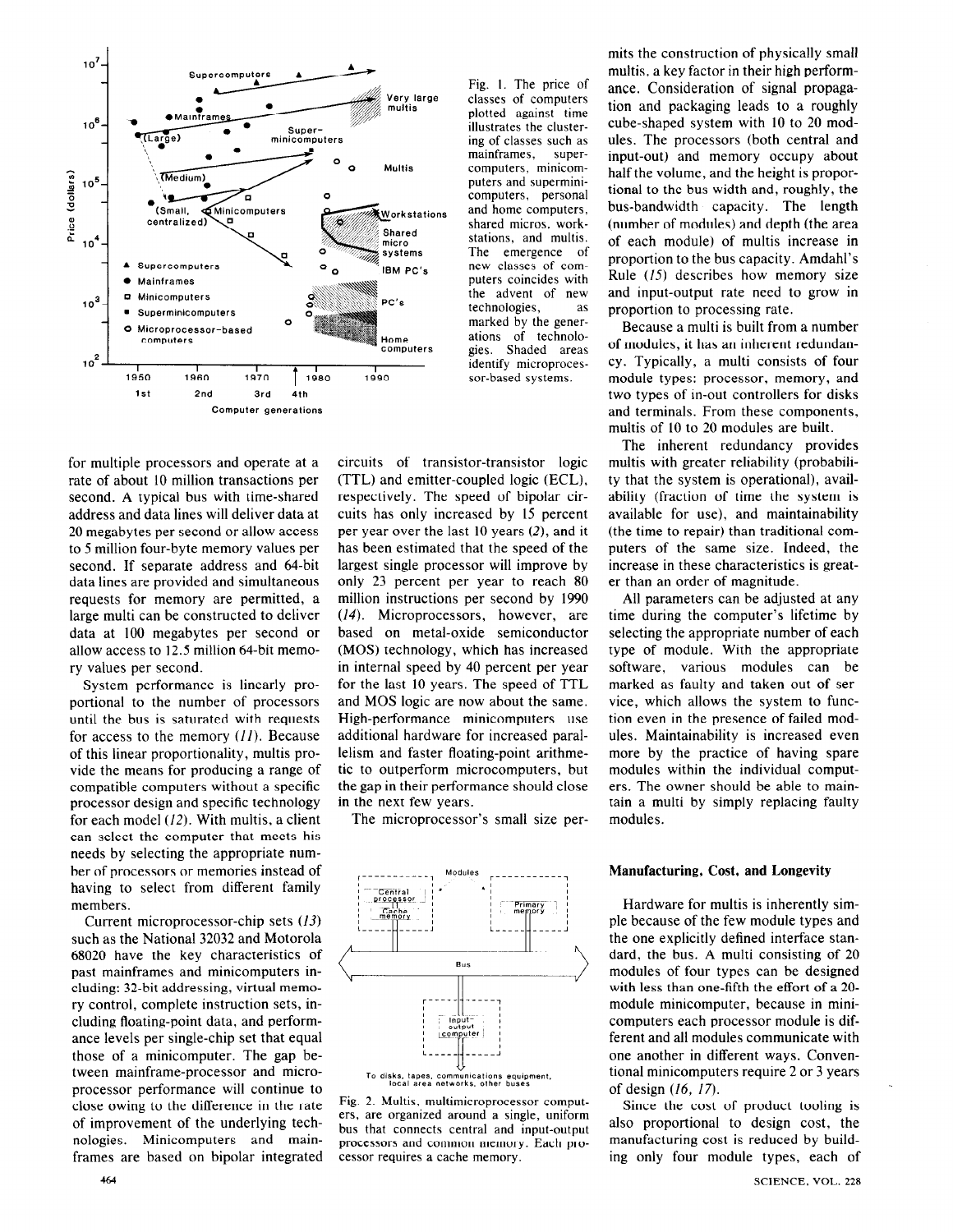

for multiple processors and operate at a rate of about 10 million transactions per second. A typical bus with time-shared address and data lines will deliver data at 20 megabytes per second or allow access to 5 million four-byte memory values per second. If separate address and 64-bit data lines are provided and simultaneous requests for memory are permitted, a large multi can be constructed to deliver data at 100 megabytes per second or allow access to 12.5 million 64-bit memory values per second.

System performance is linearly proportional to the number of processors until the bus is saturated with requests for access to the memory (II). Because of this linear proportionality, multis provide the means for producing a range of compatible computers without a specific processor design and specific technology for each model (12). With multis, a client can select the computer that meets his needs by selecting the appropriate number of processors or memories instead of having to select from different family members.

Current microprocessor-chip sets (13) such as the National 32032 and Motorola 68020 have the key characteristics of past mainframes and minicomputers including: 32-bit addressing, virtual memory control, complete instruction sets, including floating-point data, and performance levels per single-chip set that equal those of a minicomputer. The gap between mainframe-processor and microprocessor performance will continue to close owing to the difference in the rate of improvement of the underlying technologies. Minicomputers and mainframes are based on bipolar integrated circuits of transistor-transistor logic (TTL) and emitter-coupled logic (ECL), respectively. The speed of bipolar circuits has only increased by 15 percent per year over the last 10 years (2), and it has been estimated that the speed of the largest single processor will improve by only 23 percent per year to reach 80 million instructions per second by 1990 (14). Microprocessors, however, are based on metal-oxide semiconductor (MOS) technology, which has increased in internal speed by 40 percent per year for the last 10 years. The speed of TTL and MOS logic are now about the same. High-performance minicomputers use additional hardware for increased parallelism and faster floating-point arithmetic to outperform microcomputers, but the gap in their performance should close in the next few years.

The microprocessor's small size per-





mits the construction of physically small multis, a key factor in their high performance. Consideration of signal propagation and packaging leads to a roughly cube-shaped system with 10 to 20 modules. The processors (both central and input-out) and memory occupy about half the volume, and the height is proportional to the bus width and, roughly, the bus-bandwidth capacity. The length (number of modules) and depth (the area of each module) of multis increase in proportion to the bus capacity. Amdahl's Rule (15) describes how memory size and input-output rate need to grow in proportion to processing rate.

Because a multi is built from a number of modules, it has an inherent redundancy. Typically, a multi consists of four module types: processor, memory, and two types of in-out controllers for disks and terminals. From these components, multis of 10 to 20 modules are built.

The inherent redundancy provides multis with greater reliability (probability that the system is operational), availability (fraction of time the system is available for use), and maintainability (the time to repair) than traditional computers of the same size. Indeed, the increase in these characteristics is greater than an order of magnitude.

All parameters can be adjusted at any time during the computer's lifetime by selecting the appropriate number of each type of module. With the appropriate software, various modules can be marked as faulty and taken out of service, which allows the system to function even in the presence of failed modules. Maintainability is increased even more by the practice of having spare modules within the individual computers. The owner should be able to maintain a multi by simply replacing faulty modules.

# **Manufacturing, Cost, and Longevity**

Hardware for multis is inherently simple because of the few module types and the one explicitly defined interface standard, the bus. A multi consisting of 20 modules of four types can be designed with less than one-fifth the effort of a 20 module minicomputer, because in minicomputers each processor module is different and all modules communicate with one another in different ways. Conventional minicomputers require 2 or 3 years of design (16, 17).

Since the cost of product tooling is also proportional to design cost, the manufacturing cost is reduced by building only four module types, each of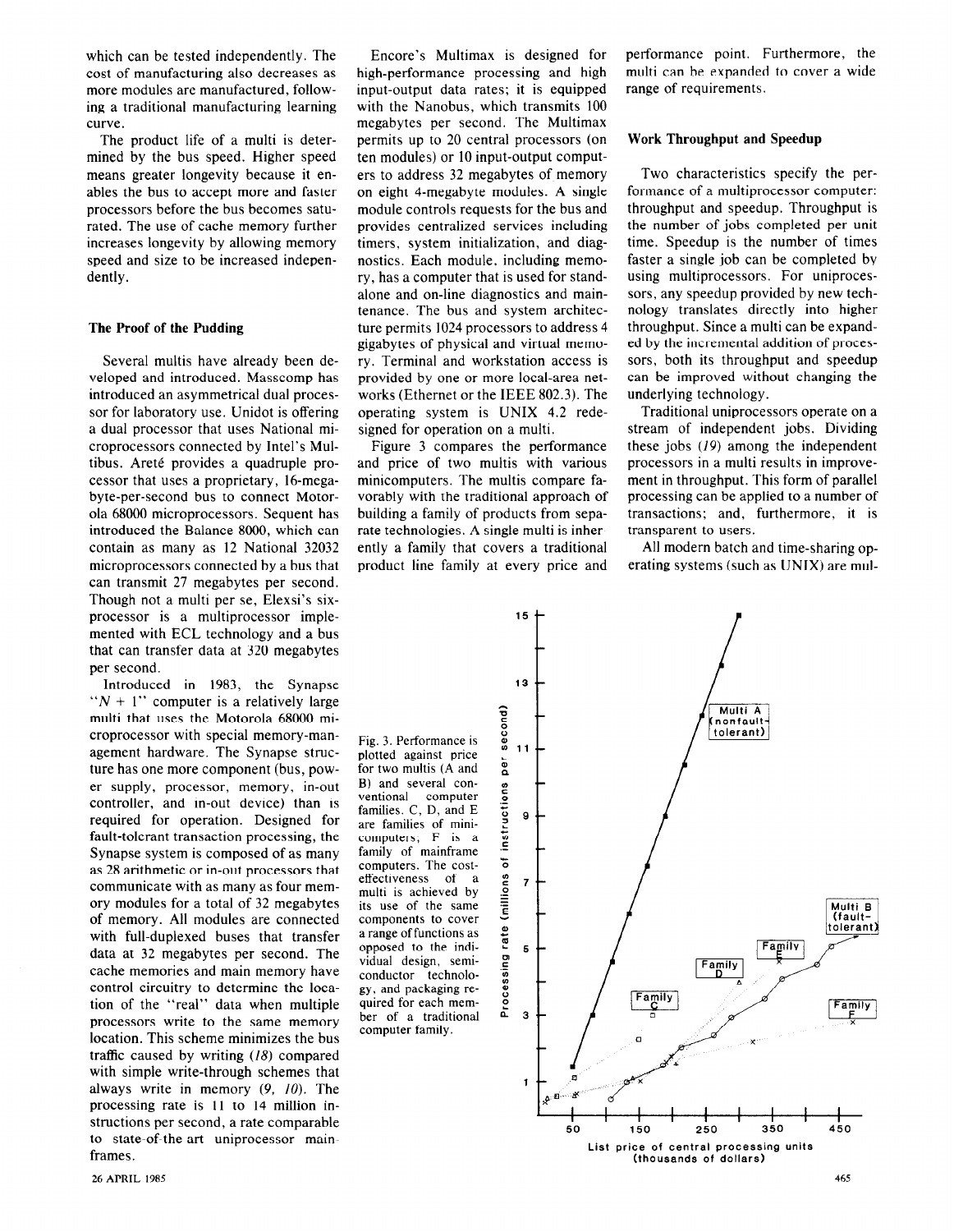which can be tested independently. The cost of manufacturing also decreases as more modules are manufactured, following a traditional manufacturing learning curve.

The product life of a multi is determined by the bus speed. Higher speed means greater longevity because it enables the bus to accept more and faster processors before the bus becomes saturated. The use of cache memory further increases longevity by allowing memory speed and size to be increased independently.

### **The Proof of the Pudding**

Several multis have already been developed and introduced. Masscomp has introduced an asymmetrical dual processor for laboratory use. Unidot is offering a dual processor that uses National microprocessors connected by Intel's Multibus. Areté provides a quadruple processor that uses a proprietary, 16-megabyte-per-second bus to connect Motorola 68000 microprocessors. Sequent has introduced the Balance 8000, which can contain as many as 12 National 32032 microprocessors connected by a bus that can transmit 27 megabytes per second. Though not a multi per se, Elexsi's sixprocessor is a multiprocessor implemented with ECL technology and a bus that can transfer data at 320 megabytes per second.

Introduced in 1983, the Synapse " $N + 1$ " computer is a relatively large multi that uses the Motorola 68000 microprocessor with special memory-management hardware. The Synapse structure has one more component (bus, power supply, processor, memory, in-out controller, and in-out device) than is required for operation. Designed for fault-tolerant transaction processing, the Synapse system is composed of as many as 28 arithmetic or in-out processors that communicate with as many as four memory modules for a total of 32 megabytes of memory. All modules are connected with full-duplexed buses that transfer data at 32 megabytes per second. The cache memories and main memory have control circuitry to determine the location of the "real" data when multiple processors write to the same memory location. This scheme minimizes the bus traffic caused by writing (18) compared with simple write-through schemes that always write in memory (9, 10). The processing rate is 11 to 14 million instructions per second, a rate comparable to state-of-the-art uniprocessor mainframes.

Encore's Multimax is designed for high-performance processing and high input-output data rates; it is equipped with the Nanobus, which transmits 100 megabytes per second. The Multimax permits up to 20 central processors (on ten modules) or 10 input-output computers to address 32 megabytes of memory on eight 4-megabyte modules. A single module controls requests for the bus and provides centralized services including timers, system initialization, and diagnostics. Each module, including memory, has a computer that is used for standalone and on-line diagnostics and maintenance. The bus and system architecture permits 1024 processors to address 4 gigabytes of physical and virtual memory. Terminal and workstation access is provided by one or more local-area networks (Ethernet or the IEEE 802.3). The operating system is UNIX 4.2 redesigned for operation on a multi.

Figure 3 compares the performance and price of two multis with various minicomputers. The multis compare favorably with the traditional approach of building a family of products from separate technologies. A single multi is inherently a family that covers a traditional product line family at every price and

performance point. Furthermore, the multi can be expanded to cover a wide range of requirements.

# **Work Throughput and Speedup**

Two characteristics specify the performance of a multiprocessor computer: throughput and speedup. Throughput is the number of jobs completed per unit time. Speedup is the number of times faster a single job can be completed by using multiprocessors. For uniprocessors, any speedup provided by new technology translates directly into higher throughput. Since a multi can be expanded by the incremental addition of processors, both its throughput and speedup can be improved without changing the underlying technology.

Traditional uniprocessors operate on a stream of independent jobs. Dividing these jobs (19) among the independent processors in a multi results in improvement in throughput. This form of parallel processing can be applied to a number of transactions; and, furthermore, it is transparent to users.

All modern batch and time-sharing operating systems (such as UNIX) are mul-

Fig. 3. Performance is plotted against price for two multis (A and B) and several con-<br>ventional computer computer families. C, D, and E are families of minicomputers; F is a family of mainframe computers. The cost-<br>effectiveness of a effectiveness of multi is achieved by its use of the same components to cover a range of functions as opposed to the individual design, semiconductor technology, and packaging required for each member of a traditional computer family.

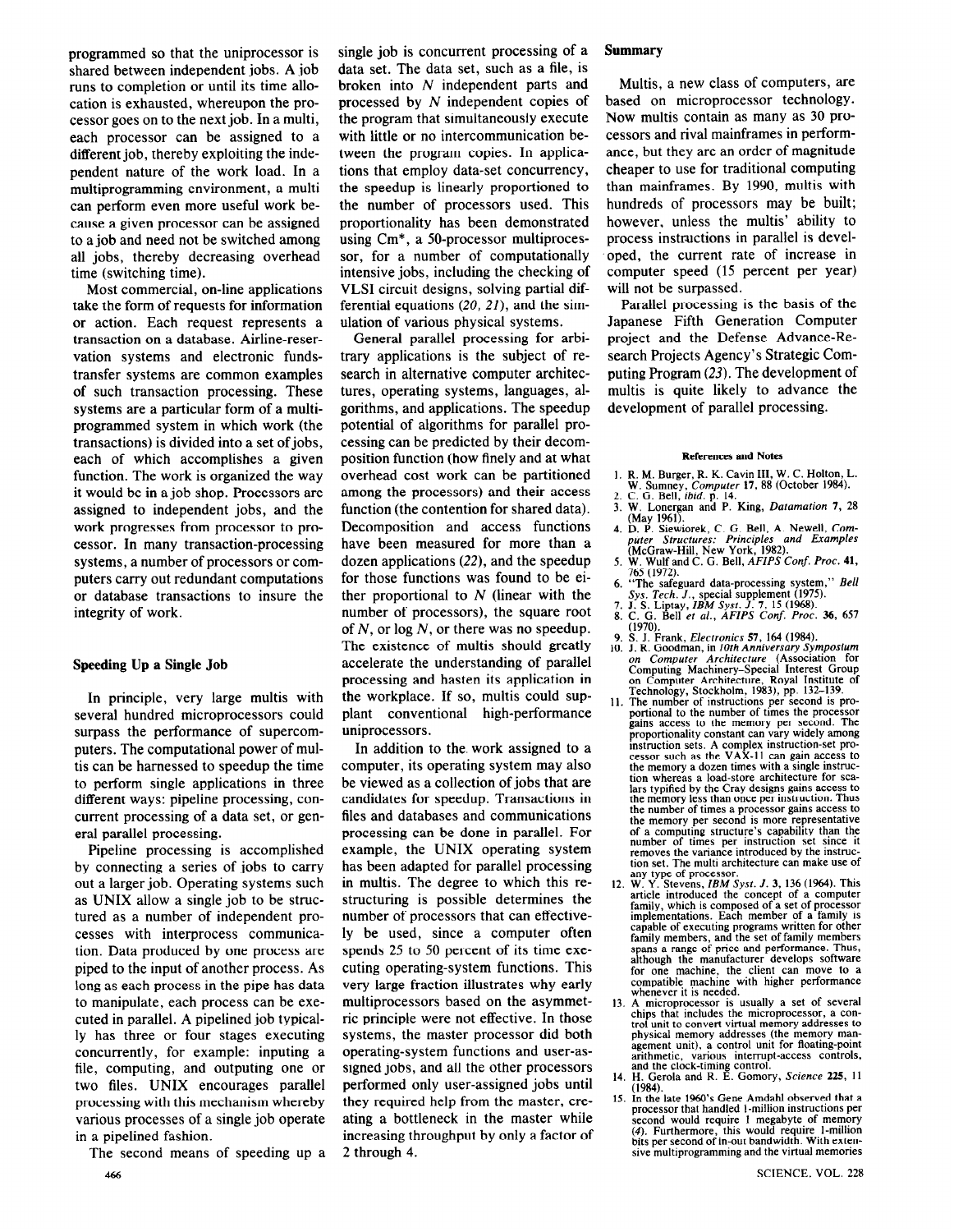programmed so that the uniprocessor is shared between independent jobs. A job runs to completion or until its time allocation is exhausted, whereupon the processor goes on to the next job. In a multi, each processor can be assigned to a different job, thereby exploiting the independent nature of the work load. In a multiprogramming environment, a multi can perform even more useful work because a given processor can be assigned to a job and need not be switched among all jobs, thereby decreasing overhead time (switching time).

Most commercial, on-line applications take the form of requests for information or action. Each request represents a transaction on a database. Airline-reservation systems and electronic fundstransfer systems are common examples of such transaction processing. These systems are a particular form of a multiprogrammed system in which work (the transactions) is divided into a set of jobs, each of which accomplishes a given function. The work is organized the way it would be in a job shop. Processors are assigned to independent jobs, and the work progresses from processor to processor. In many transaction-processing systems, a number of processors or computers carry out redundant computations or database transactions to insure the integrity of work.

# **Speeding Up a Single Job**

In principle, very large multis with several hundred microprocessors could surpass the performance of supercomputers. The computational power of multis can be harnessed to speedup the time to perform single applications in three different ways: pipeline processing, concurrent processing of a data set, or general parallel processing.

Pipeline processing is accomplished by connecting a series of jobs to carry out a larger job. Operating systems such as UNIX allow a single job to be structured as a number of independent processes with interprocess communication. Data produced by one process are piped to the input of another process. As long as each process in the pipe has data to manipulate, each process can be executed in parallel. A pipelined job typically has three or four stages executing concurrently, for example: inputing a file, computing, and outputing one or two files. UNIX encourages parallel processing with this mechanism whereby various processes of a single job operate in a pipelined fashion.

The second means of speeding up a 466

single job is concurrent processing of a data set. The data set, such as a file, is broken into N independent parts and processed by N independent copies of the program that simultaneously execute with little or no intercommunication between the program copies. In applications that employ data-set concurrency, the speedup is linearly proportioned to the number of processors used. This proportionality has been demonstrated using Cm\*, a SO-processor multiprocessor, for a number of computationally intensive jobs, including the checking of VLSI circuit designs, solving partial differential equations  $(20, 21)$ , and the simulation of various physical systems.

General parallel processing for arbitrary applications is the subject of research in alternative computer architectures, operating systems, languages, algorithms, and applications. The speedup potential of algorithms for parallel processing can be predicted by their decomposition function (how finely and at what overhead cost work can be partitioned among the processors) and their access function (the contention for shared data). Decomposition and access functions have been measured for more than a dozen applications (22), and the speedup for those functions was found to be either proportional to  $N$  (linear with the number of processors), the square root of  $N$ , or log  $N$ , or there was no speedup. The existence of multis should greatly accelerate the understanding of parallel processing and hasten its application in the workplace. If so, multis could supplant conventional high-performance uniprocessors.

In addition to the. work assigned to a computer, its operating system may also be viewed as a collection of jobs that are candidates for speedup. Transactions in files and databases and communications processing can be done in parallel. For example, the UNIX operating system has been adapted for parallel processing in multis. The degree to which this restructuring is possible determines the number of processors that can effectively be used, since a computer often spends 25 to 50 percent of its time executing operating-system functions. This very large fraction illustrates why early multiprocessors based on the asymmetric principle were not effective. In those systems, the master processor did both operating-system functions and user-assigned jobs, and all the other processors performed only user-assigned jobs until they required help from the master, creating a bottleneck in the master while increasing throughput by only a factor of 2 through 4.

# **Summary**

Multis, a new class of computers, are based on microprocessor technology. Now multis contain as many as 30 processors and rival mainframes in performance, but they are an order of magnitude cheaper to use for traditional computing than mainframes. By 1990, multis with hundreds of processors may be built; however, unless the multis' ability to process instructions in parallel is developed, the current rate of increase in computer speed (15 percent per year) will not be surpassed.

Parallel processing is the basis of the Japanese Fifth Generation Computer project and the Defense Advance-Research Projects Agency's Strategic Computing Program (23). The development of multis is quite likely to advance the development of parallel processing.

#### References and Notes

- 1. R. M. Burger, R. K. Gavin III, W. C. Holton, L.
- W. Sumney, *Computer* 17, 88 (October 1984). 2. C. G. Bell, *ibid. o.* 14. 3. W. Lonergan and P. King, *Datamation* 7, 28
- (May 1961).<br>4. D. P. Siewiorek, C. G. Bell, A. Newell, Com-
- *puter Structures: Principles and Examples*<br>
(McGraw-Hill, New York, 1982).<br>
5. W. Wulf and C. G. Bell, *AFIPS Conf. Proc.* 41,
- *765 (1972).*  6. **"The safeguard data-processing system," Bell**
- Sys. *Tech. J.,* special supplement (1975). 7. J. S. Liptay, IBM *Syst. J.* 7, 15 (1968).
- 8. C. G. Bell *et al., AFIPS Conf. Proc.* 36, 657 <sup>(1970)</sup>.
- *9. S.* J. Frank, *Ekctronics 57,* 164 (1984). 10. J. R. Goodman, in *10th Anniversary Symposium on Computer Architecture* (Association for Computing Machinery-Special Interest Group<br>on Computer Architecture. Royal Institute of
- on Computer Architecture, Royal Institute of Technology, Stockholm, 1983), pp. 132-139. 11. The number of instructions per second is proportional to the number of times the processor<br>gains access to the memory per second. The gains access to the memory per sec proportionality constant can vary widely among instruction sets. A complex instruction-set pro-cessor such as the VAX-11 can gain access to the memory a dozen times with a single instruction whereas a load-store architecture for scalars typified by the Cray designs gains access to the memory less than once per instruction. Thus the number of times a processor gains access to the memory per second is more representative of a computing structure's capability than the number of times per instruction set since it removes the variance introduced by the instruction set. The multi architecture can make use of
- any type of processor. 12. W. Y. Stevens, IBM *Syst. J. 3,* 136 (1964). This article introduced the concept of a computer family, which is composed of a set of processor implementations. Each member of a family is capable of executing programs written for other family members, and the set of family members spans a range of price and performance. Thus, although the manufacturer develops software for one machine, the client can move to a<br>compatible machine with higher performance
- whenever it is needed.<br>13. A microprocessor is usually a set of several chips that includes the microprocessor, a con-trol unit to convert virtual memory addresses to physical memory addresses (the memory man-<br>agement unit), a control unit for floating-point<br>arithmetic, various interrupt-access controls<br>and the clock-timing control.
- 14. H. Gerola and R. E. Gomory, *Science* 225, 11 (I *'WA\*
- $15$ . In the late  $1960$ 's Gene Amdabl observed that a In the late 1960's Gene Amdahl observed that a processor that handled 1-million instructions per second would require 1 megabyte of memory (4). Furthermore, this would require l-million bits per second of in-out bandwidth. With extensive multiprogramming and the virtual memories